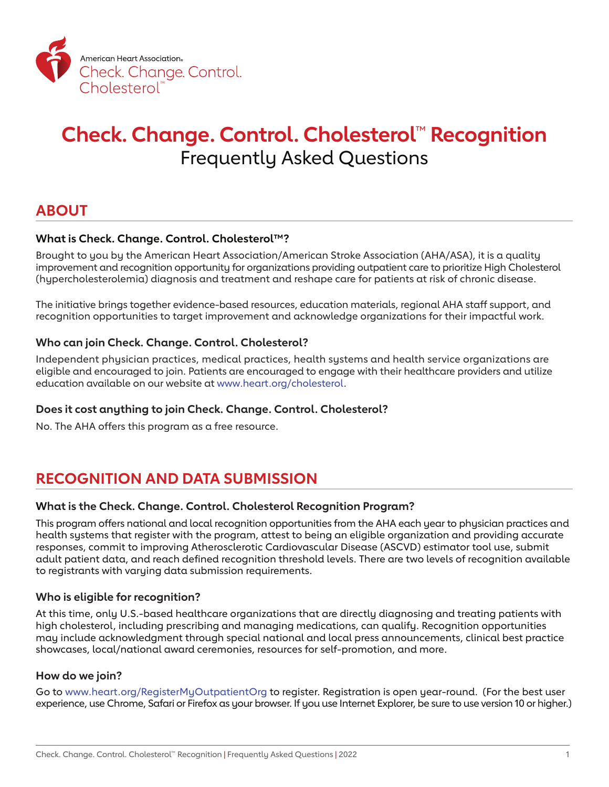

# **Check. Change. Control. Cholesterol**™ **Recognition** Frequently Asked Questions

### **ABOUT**

#### **What is Check. Change. Control. Cholesterol™?**

Brought to you by the American Heart Association/American Stroke Association (AHA/ASA), it is a quality improvement and recognition opportunity for organizations providing outpatient care to prioritize High Cholesterol (hypercholesterolemia) diagnosis and treatment and reshape care for patients at risk of chronic disease.

The initiative brings together evidence-based resources, education materials, regional AHA staff support, and recognition opportunities to target improvement and acknowledge organizations for their impactful work.

#### **Who can join Check. Change. Control. Cholesterol?**

Independent physician practices, medical practices, health systems and health service organizations are eligible and encouraged to join. Patients are encouraged to engage with their healthcare providers and utilize education available on our website at [www.heart.org/cholesterol.](http://www.heart.org/cholesterol)

#### **Does it cost anything to join Check. Change. Control. Cholesterol?**

No. The AHA offers this program as a free resource.

### **RECOGNITION AND DATA SUBMISSION**

#### **What is the Check. Change. Control. Cholesterol Recognition Program?**

This program offers national and local recognition opportunities from the AHA each year to physician practices and health systems that register with the program, attest to being an eligible organization and providing accurate responses, commit to improving Atherosclerotic Cardiovascular Disease (ASCVD) estimator tool use, submit adult patient data, and reach defined recognition threshold levels. There are two levels of recognition available to registrants with varying data submission requirements.

#### **Who is eligible for recognition?**

At this time, only U.S.-based healthcare organizations that are directly diagnosing and treating patients with high cholesterol, including prescribing and managing medications, can qualify. Recognition opportunities may include acknowledgment through special national and local press announcements, clinical best practice showcases, local/national award ceremonies, resources for self-promotion, and more.

#### **How do we join?**

Go to [www.heart.org/RegisterMyOutpatientOrg](http://www.heart.org/RegisterMyOutpatientOrg) to register. Registration is open year-round. (For the best user experience, use Chrome, Safari or Firefox as your browser. If you use Internet Explorer, be sure to use version 10 or higher.)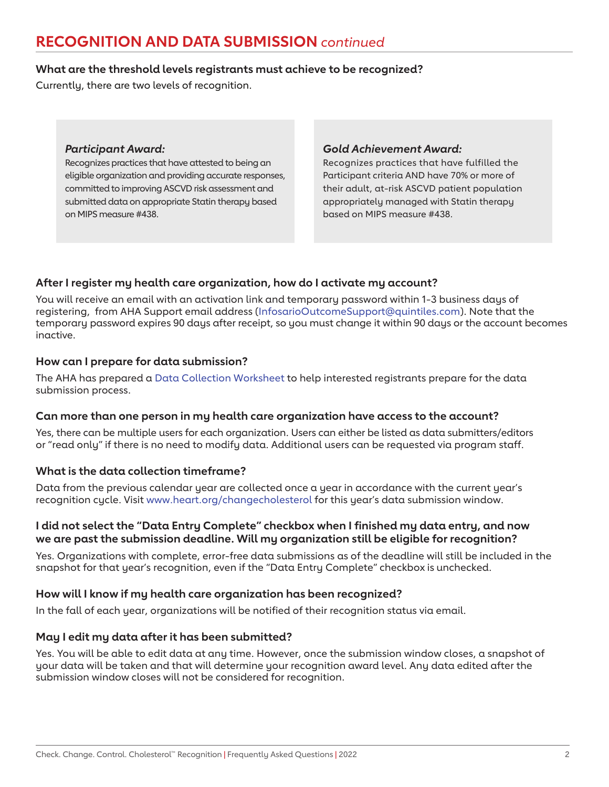### **RECOGNITION AND DATA SUBMISSION** *continued*

#### **What are the threshold levels registrants must achieve to be recognized?**

Currently, there are two levels of recognition.

#### *Participant Award:*

Recognizes practices that have attested to being an eligible organization and providing accurate responses, committed to improving ASCVD risk assessment and submitted data on appropriate Statin therapy based on MIPS measure #438.

#### *Gold Achievement Award:*

Recognizes practices that have fulfilled the Participant criteria AND have 70% or more of their adult, at-risk ASCVD patient population appropriately managed with Statin therapy based on MIPS measure #438.

#### **After I register my health care organization, how do I activate my account?**

You will receive an email with an activation link and temporary password within 1-3 business days of registering, from AHA Support email address [\(InfosarioOutcomeSupport@quintiles.com\)](mailto:InfosarioOutcomeSupport%40quintiles.com?subject=). Note that the temporary password expires 90 days after receipt, so you must change it within 90 days or the account becomes inactive.

#### **How can I prepare for data submission?**

The AHA has prepared a [Data Collection Worksheet](https://www.heart.org/-/media/files/health-topics/cholesterol/cholesterol-recognition-data-collection-2019.pdf?la=en&hash=5F85C872999A3BB3932E135049B73E0374E794E5) to help interested registrants prepare for the data submission process.

#### **Can more than one person in my health care organization have access to the account?**

Yes, there can be multiple users for each organization. Users can either be listed as data submitters/editors or "read only" if there is no need to modify data. Additional users can be requested via program staff.

#### **What is the data collection timeframe?**

Data from the previous calendar year are collected once a year in accordance with the current year's recognition cycle. Visit [www.heart.org/changecholesterol](http://www.heart.org/changecholesterol) for this year's data submission window.

#### **I did not select the "Data Entry Complete" checkbox when I finished my data entry, and now we are past the submission deadline. Will my organization still be eligible for recognition?**

Yes. Organizations with complete, error-free data submissions as of the deadline will still be included in the snapshot for that year's recognition, even if the "Data Entry Complete" checkbox is unchecked.

#### **How will I know if my health care organization has been recognized?**

In the fall of each year, organizations will be notified of their recognition status via email.

#### **May I edit my data after it has been submitted?**

Yes. You will be able to edit data at any time. However, once the submission window closes, a snapshot of your data will be taken and that will determine your recognition award level. Any data edited after the submission window closes will not be considered for recognition.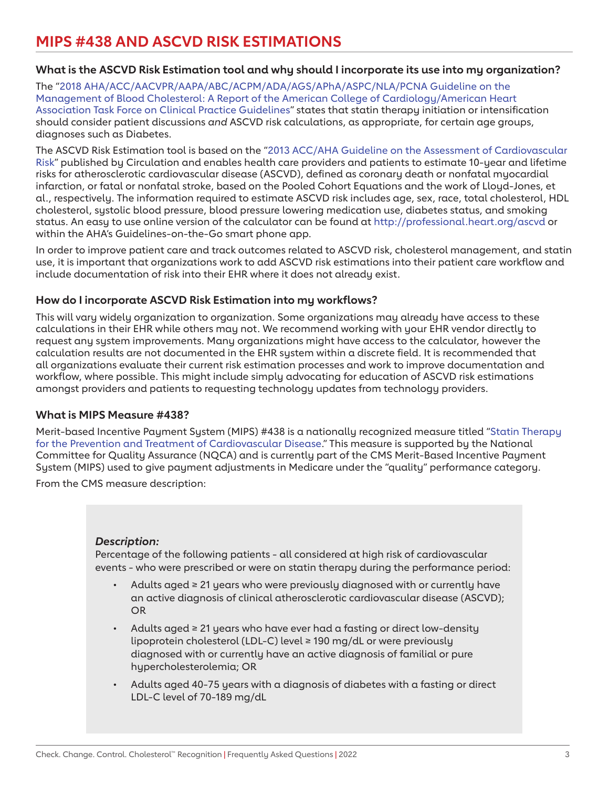## **MIPS #438 AND ASCVD RISK ESTIMATIONS**

#### **What is the ASCVD Risk Estimation tool and why should I incorporate its use into my organization?**

The ["2018 AHA/ACC/AACVPR/AAPA/ABC/ACPM/ADA/AGS/APhA/ASPC/NLA/PCNA Guideline on the](https://www.ahajournals.org/doi/10.1161/CIR.0000000000000625)  [Management of Blood Cholesterol: A Report of the American College of Cardiology/American Heart](https://www.ahajournals.org/doi/10.1161/CIR.0000000000000625)  [Association Task Force on Clinical Practice Guidelines](https://www.ahajournals.org/doi/10.1161/CIR.0000000000000625)" states that statin therapy initiation or intensification should consider patient discussions *and* ASCVD risk calculations, as appropriate, for certain age groups, diagnoses such as Diabetes.

The ASCVD Risk Estimation tool is based on the ["2013 ACC/AHA Guideline on the Assessment of Cardiovascular](https://www.ahajournals.org/doi/10.1161/01.cir.0000437741.48606.98)  [Risk"](https://www.ahajournals.org/doi/10.1161/01.cir.0000437741.48606.98) published by Circulation and enables health care providers and patients to estimate 10-year and lifetime risks for atherosclerotic cardiovascular disease (ASCVD), defined as coronary death or nonfatal myocardial infarction, or fatal or nonfatal stroke, based on the Pooled Cohort Equations and the work of Lloyd-Jones, et al., respectively. The information required to estimate ASCVD risk includes age, sex, race, total cholesterol, HDL cholesterol, systolic blood pressure, blood pressure lowering medication use, diabetes status, and smoking status. An easy to use online version of the calculator can be found at <http://professional.heart.org/ascvd> or within the AHA's Guidelines-on-the-Go smart phone app.

In order to improve patient care and track outcomes related to ASCVD risk, cholesterol management, and statin use, it is important that organizations work to add ASCVD risk estimations into their patient care workflow and include documentation of risk into their EHR where it does not already exist.

#### **How do I incorporate ASCVD Risk Estimation into my workflows?**

This will vary widely organization to organization. Some organizations may already have access to these calculations in their EHR while others may not. We recommend working with your EHR vendor directly to request any system improvements. Many organizations might have access to the calculator, however the calculation results are not documented in the EHR system within a discrete field. It is recommended that all organizations evaluate their current risk estimation processes and work to improve documentation and workflow, where possible. This might include simply advocating for education of ASCVD risk estimations amongst providers and patients to requesting technology updates from technology providers.

#### **What is MIPS Measure #438?**

Merit-based Incentive Payment System (MIPS) #438 is a nationally recognized measure titled ["Statin Therapy](https://qpp.cms.gov/docs/QPP_quality_measure_specifications/CQM-Measures/2020_Measure_438_MIPSCQM_v4.2.pdf)  [for the Prevention and Treatment of Cardiovascular Disease](https://qpp.cms.gov/docs/QPP_quality_measure_specifications/CQM-Measures/2020_Measure_438_MIPSCQM_v4.2.pdf)." This measure is supported by the National Committee for Quality Assurance (NQCA) and is currently part of the CMS Merit-Based Incentive Payment System (MIPS) used to give payment adjustments in Medicare under the "quality" performance category.

From the CMS measure description:

#### *Description:*

Percentage of the following patients - all considered at high risk of cardiovascular events - who were prescribed or were on statin therapy during the performance period:

- Adults aged ≥ 21 years who were previously diagnosed with or currently have an active diagnosis of clinical atherosclerotic cardiovascular disease (ASCVD); OR
- Adults aged  $\geq 21$  years who have ever had a fasting or direct low-density lipoprotein cholesterol (LDL-C) level ≥ 190 mg/dL or were previously diagnosed with or currently have an active diagnosis of familial or pure hypercholesterolemia; OR
- Adults aged 40-75 years with a diagnosis of diabetes with a fasting or direct LDL-C level of 70-189 mg/dL